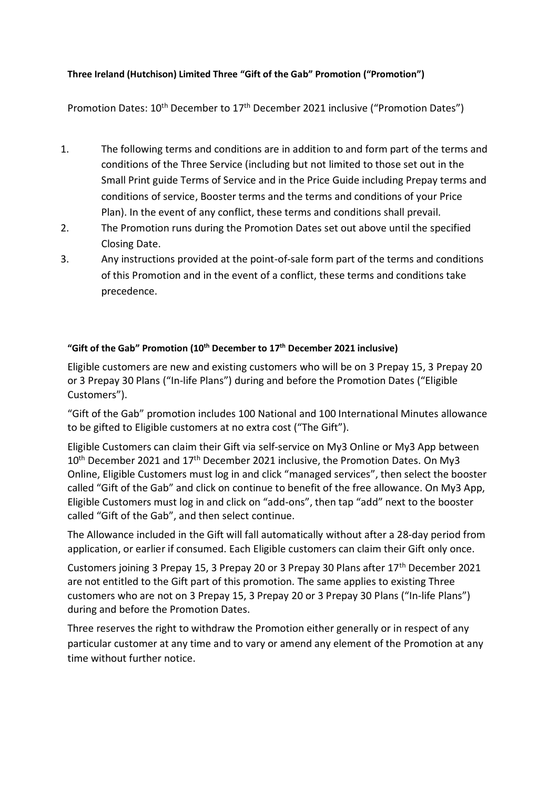## **Three Ireland (Hutchison) Limited Three "Gift of the Gab" Promotion ("Promotion")**

Promotion Dates: 10<sup>th</sup> December to 17<sup>th</sup> December 2021 inclusive ("Promotion Dates")

- 1. The following terms and conditions are in addition to and form part of the terms and conditions of the Three Service (including but not limited to those set out in the Small Print guide Terms of Service and in the Price Guide including Prepay terms and conditions of service, Booster terms and the terms and conditions of your Price Plan). In the event of any conflict, these terms and conditions shall prevail.
- 2. The Promotion runs during the Promotion Dates set out above until the specified Closing Date.
- 3. Any instructions provided at the point-of-sale form part of the terms and conditions of this Promotion and in the event of a conflict, these terms and conditions take precedence.

## **"Gift of the Gab" Promotion (10th December to 17th December 2021 inclusive)**

Eligible customers are new and existing customers who will be on 3 Prepay 15, 3 Prepay 20 or 3 Prepay 30 Plans ("In-life Plans") during and before the Promotion Dates ("Eligible Customers").

"Gift of the Gab" promotion includes 100 National and 100 International Minutes allowance to be gifted to Eligible customers at no extra cost ("The Gift").

Eligible Customers can claim their Gift via self-service on My3 Online or My3 App between 10<sup>th</sup> December 2021 and 17<sup>th</sup> December 2021 inclusive, the Promotion Dates. On My3 Online, Eligible Customers must log in and click "managed services", then select the booster called "Gift of the Gab" and click on continue to benefit of the free allowance. On My3 App, Eligible Customers must log in and click on "add-ons", then tap "add" next to the booster called "Gift of the Gab", and then select continue.

The Allowance included in the Gift will fall automatically without after a 28-day period from application, or earlier if consumed. Each Eligible customers can claim their Gift only once.

Customers joining 3 Prepay 15, 3 Prepay 20 or 3 Prepay 30 Plans after 17<sup>th</sup> December 2021 are not entitled to the Gift part of this promotion. The same applies to existing Three customers who are not on 3 Prepay 15, 3 Prepay 20 or 3 Prepay 30 Plans ("In-life Plans") during and before the Promotion Dates.

Three reserves the right to withdraw the Promotion either generally or in respect of any particular customer at any time and to vary or amend any element of the Promotion at any time without further notice.